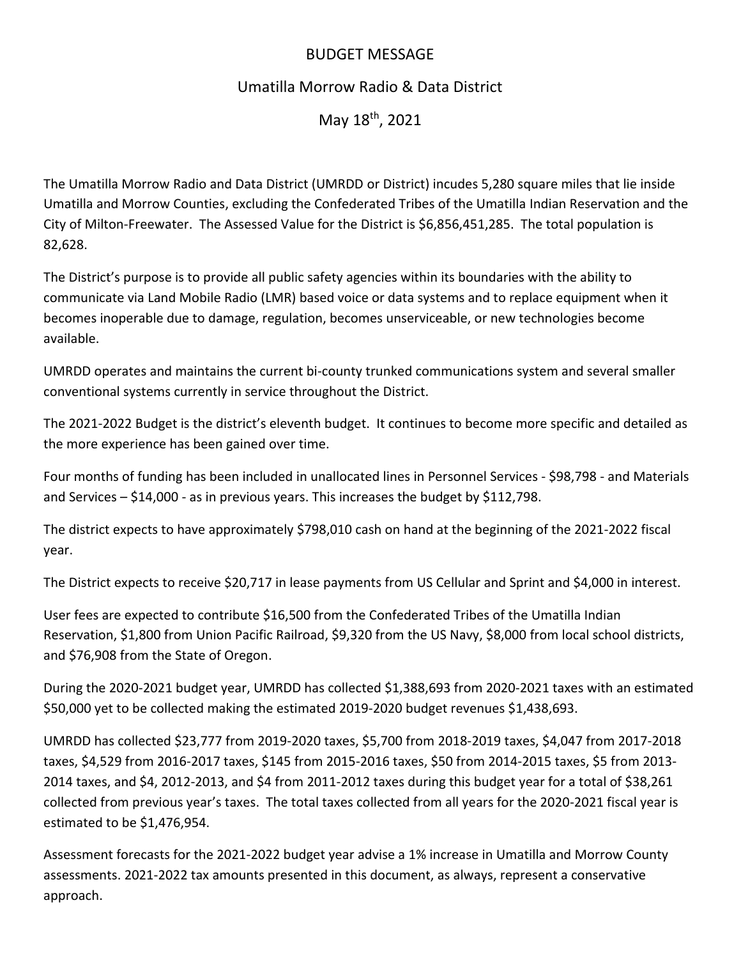## BUDGET MESSAGE

## Umatilla Morrow Radio & Data District

May 18th, 2021

The Umatilla Morrow Radio and Data District (UMRDD or District) incudes 5,280 square miles that lie inside Umatilla and Morrow Counties, excluding the Confederated Tribes of the Umatilla Indian Reservation and the City of Milton-Freewater. The Assessed Value for the District is \$6,856,451,285. The total population is 82,628.

The District's purpose is to provide all public safety agencies within its boundaries with the ability to communicate via Land Mobile Radio (LMR) based voice or data systems and to replace equipment when it becomes inoperable due to damage, regulation, becomes unserviceable, or new technologies become available.

UMRDD operates and maintains the current bi-county trunked communications system and several smaller conventional systems currently in service throughout the District.

The 2021-2022 Budget is the district's eleventh budget. It continues to become more specific and detailed as the more experience has been gained over time.

Four months of funding has been included in unallocated lines in Personnel Services - \$98,798 - and Materials and Services – \$14,000 - as in previous years. This increases the budget by \$112,798.

The district expects to have approximately \$798,010 cash on hand at the beginning of the 2021-2022 fiscal year.

The District expects to receive \$20,717 in lease payments from US Cellular and Sprint and \$4,000 in interest.

User fees are expected to contribute \$16,500 from the Confederated Tribes of the Umatilla Indian Reservation, \$1,800 from Union Pacific Railroad, \$9,320 from the US Navy, \$8,000 from local school districts, and \$76,908 from the State of Oregon.

During the 2020-2021 budget year, UMRDD has collected \$1,388,693 from 2020-2021 taxes with an estimated \$50,000 yet to be collected making the estimated 2019-2020 budget revenues \$1,438,693.

UMRDD has collected \$23,777 from 2019-2020 taxes, \$5,700 from 2018-2019 taxes, \$4,047 from 2017-2018 taxes, \$4,529 from 2016-2017 taxes, \$145 from 2015-2016 taxes, \$50 from 2014-2015 taxes, \$5 from 2013- 2014 taxes, and \$4, 2012-2013, and \$4 from 2011-2012 taxes during this budget year for a total of \$38,261 collected from previous year's taxes. The total taxes collected from all years for the 2020-2021 fiscal year is estimated to be \$1,476,954.

Assessment forecasts for the 2021-2022 budget year advise a 1% increase in Umatilla and Morrow County assessments. 2021-2022 tax amounts presented in this document, as always, represent a conservative approach.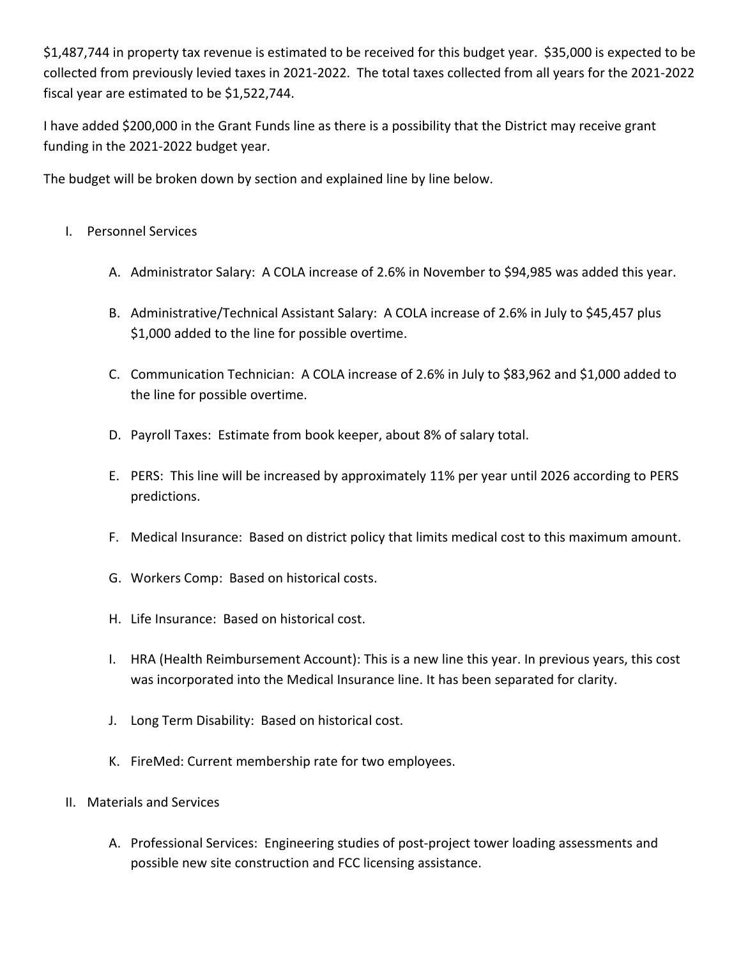\$1,487,744 in property tax revenue is estimated to be received for this budget year. \$35,000 is expected to be collected from previously levied taxes in 2021-2022. The total taxes collected from all years for the 2021-2022 fiscal year are estimated to be \$1,522,744.

I have added \$200,000 in the Grant Funds line as there is a possibility that the District may receive grant funding in the 2021-2022 budget year.

The budget will be broken down by section and explained line by line below.

- I. Personnel Services
	- A. Administrator Salary: A COLA increase of 2.6% in November to \$94,985 was added this year.
	- B. Administrative/Technical Assistant Salary: A COLA increase of 2.6% in July to \$45,457 plus \$1,000 added to the line for possible overtime.
	- C. Communication Technician: A COLA increase of 2.6% in July to \$83,962 and \$1,000 added to the line for possible overtime.
	- D. Payroll Taxes: Estimate from book keeper, about 8% of salary total.
	- E. PERS: This line will be increased by approximately 11% per year until 2026 according to PERS predictions.
	- F. Medical Insurance: Based on district policy that limits medical cost to this maximum amount.
	- G. Workers Comp: Based on historical costs.
	- H. Life Insurance: Based on historical cost.
	- I. HRA (Health Reimbursement Account): This is a new line this year. In previous years, this cost was incorporated into the Medical Insurance line. It has been separated for clarity.
	- J. Long Term Disability: Based on historical cost.
	- K. FireMed: Current membership rate for two employees.
- II. Materials and Services
	- A. Professional Services: Engineering studies of post-project tower loading assessments and possible new site construction and FCC licensing assistance.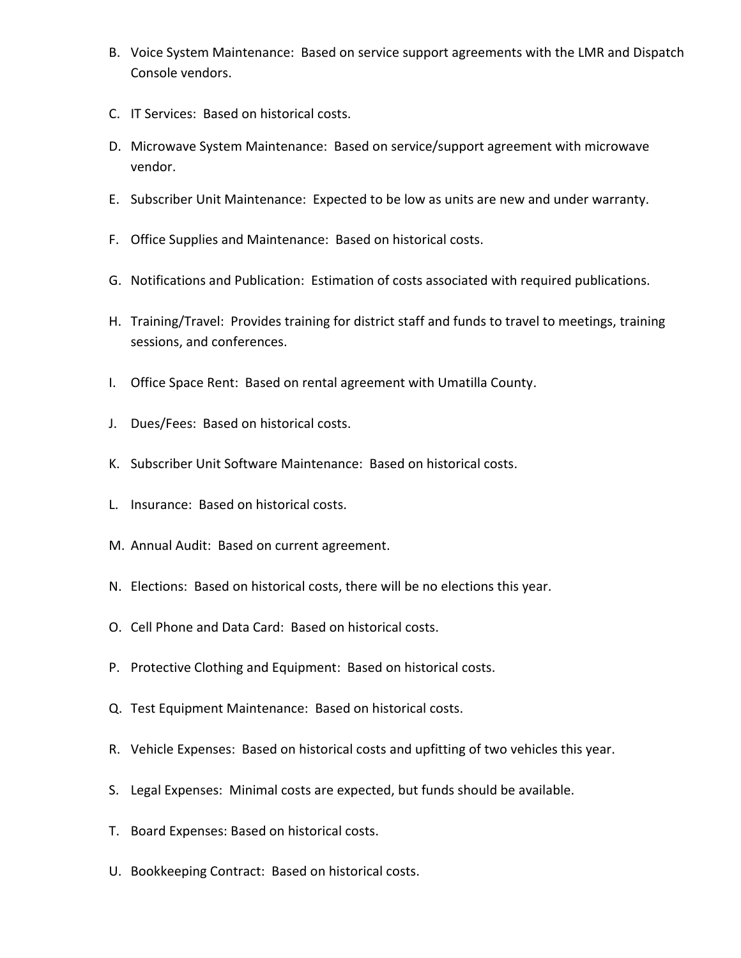- B. Voice System Maintenance: Based on service support agreements with the LMR and Dispatch Console vendors.
- C. IT Services: Based on historical costs.
- D. Microwave System Maintenance: Based on service/support agreement with microwave vendor.
- E. Subscriber Unit Maintenance: Expected to be low as units are new and under warranty.
- F. Office Supplies and Maintenance: Based on historical costs.
- G. Notifications and Publication: Estimation of costs associated with required publications.
- H. Training/Travel: Provides training for district staff and funds to travel to meetings, training sessions, and conferences.
- I. Office Space Rent: Based on rental agreement with Umatilla County.
- J. Dues/Fees: Based on historical costs.
- K. Subscriber Unit Software Maintenance: Based on historical costs.
- L. Insurance: Based on historical costs.
- M. Annual Audit: Based on current agreement.
- N. Elections: Based on historical costs, there will be no elections this year.
- O. Cell Phone and Data Card: Based on historical costs.
- P. Protective Clothing and Equipment: Based on historical costs.
- Q. Test Equipment Maintenance: Based on historical costs.
- R. Vehicle Expenses: Based on historical costs and upfitting of two vehicles this year.
- S. Legal Expenses: Minimal costs are expected, but funds should be available.
- T. Board Expenses: Based on historical costs.
- U. Bookkeeping Contract: Based on historical costs.